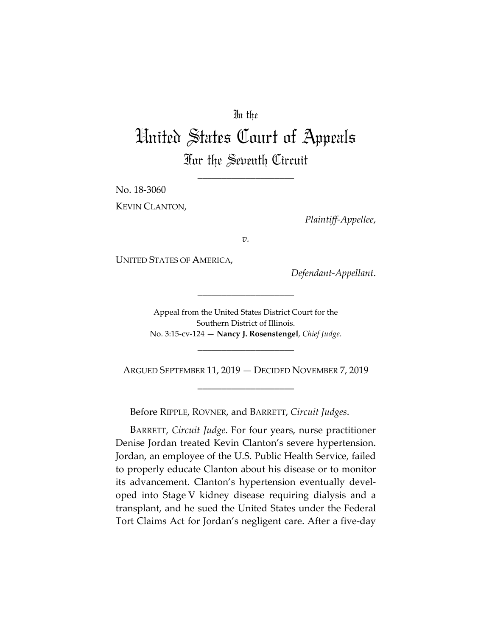## In the

## United States Court of Appeals For the Seventh Circuit

\_\_\_\_\_\_\_\_\_\_\_\_\_\_\_\_\_\_\_\_

No. 18-3060

KEVIN CLANTON,

*Plaintiff-Appellee*,

*v.*

UNITED STATES OF AMERICA,

*Defendant-Appellant*.

Appeal from the United States District Court for the Southern District of Illinois. No. 3:15-cv-124 — **Nancy J. Rosenstengel**, *Chief Judge*.

\_\_\_\_\_\_\_\_\_\_\_\_\_\_\_\_\_\_\_\_

ARGUED SEPTEMBER 11, 2019 — DECIDED NOVEMBER 7, 2019 \_\_\_\_\_\_\_\_\_\_\_\_\_\_\_\_\_\_\_\_

\_\_\_\_\_\_\_\_\_\_\_\_\_\_\_\_\_\_\_\_

Before RIPPLE, ROVNER, and BARRETT, *Circuit Judges*.

BARRETT, *Circuit Judge*. For four years, nurse practitioner Denise Jordan treated Kevin Clanton's severe hypertension. Jordan, an employee of the U.S. Public Health Service, failed to properly educate Clanton about his disease or to monitor its advancement. Clanton's hypertension eventually developed into Stage V kidney disease requiring dialysis and a transplant, and he sued the United States under the Federal Tort Claims Act for Jordan's negligent care. After a five-day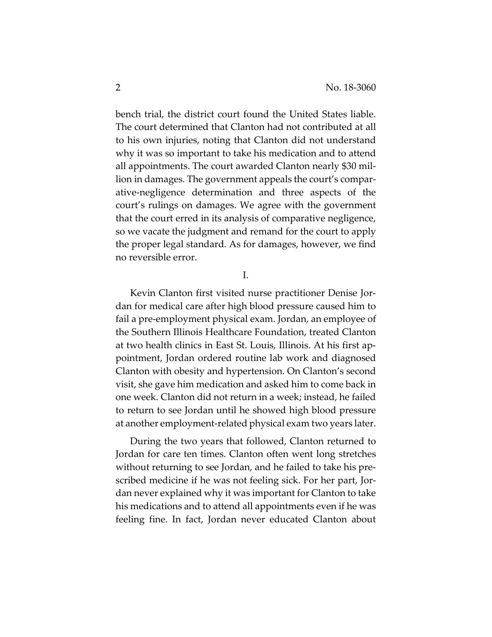bench trial, the district court found the United States liable. The court determined that Clanton had not contributed at all to his own injuries, noting that Clanton did not understand why it was so important to take his medication and to attend all appointments. The court awarded Clanton nearly \$30 million in damages. The government appeals the court's comparative-negligence determination and three aspects of the court's rulings on damages. We agree with the government that the court erred in its analysis of comparative negligence, so we vacate the judgment and remand for the court to apply the proper legal standard. As for damages, however, we find no reversible error.

I.

Kevin Clanton first visited nurse practitioner Denise Jordan for medical care after high blood pressure caused him to fail a pre-employment physical exam. Jordan, an employee of the Southern Illinois Healthcare Foundation, treated Clanton at two health clinics in East St. Louis, Illinois. At his first appointment, Jordan ordered routine lab work and diagnosed Clanton with obesity and hypertension. On Clanton's second visit, she gave him medication and asked him to come back in one week. Clanton did not return in a week; instead, he failed to return to see Jordan until he showed high blood pressure at another employment-related physical exam two years later.

During the two years that followed, Clanton returned to Jordan for care ten times. Clanton often went long stretches without returning to see Jordan, and he failed to take his prescribed medicine if he was not feeling sick. For her part, Jordan never explained why it was important for Clanton to take his medications and to attend all appointments even if he was feeling fine. In fact, Jordan never educated Clanton about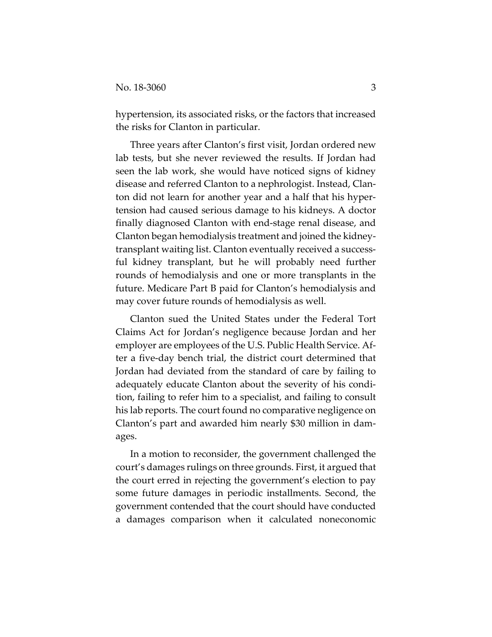hypertension, its associated risks, or the factors that increased the risks for Clanton in particular.

Three years after Clanton's first visit, Jordan ordered new lab tests, but she never reviewed the results. If Jordan had seen the lab work, she would have noticed signs of kidney disease and referred Clanton to a nephrologist. Instead, Clanton did not learn for another year and a half that his hypertension had caused serious damage to his kidneys. A doctor finally diagnosed Clanton with end-stage renal disease, and Clanton began hemodialysis treatment and joined the kidneytransplant waiting list. Clanton eventually received a successful kidney transplant, but he will probably need further rounds of hemodialysis and one or more transplants in the future. Medicare Part B paid for Clanton's hemodialysis and may cover future rounds of hemodialysis as well.

Clanton sued the United States under the Federal Tort Claims Act for Jordan's negligence because Jordan and her employer are employees of the U.S. Public Health Service. After a five-day bench trial, the district court determined that Jordan had deviated from the standard of care by failing to adequately educate Clanton about the severity of his condition, failing to refer him to a specialist, and failing to consult his lab reports. The court found no comparative negligence on Clanton's part and awarded him nearly \$30 million in damages.

In a motion to reconsider, the government challenged the court's damages rulings on three grounds. First, it argued that the court erred in rejecting the government's election to pay some future damages in periodic installments. Second, the government contended that the court should have conducted a damages comparison when it calculated noneconomic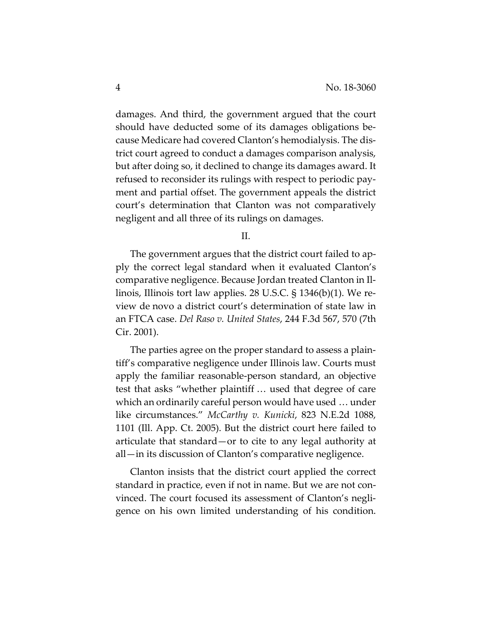damages. And third, the government argued that the court should have deducted some of its damages obligations because Medicare had covered Clanton's hemodialysis. The district court agreed to conduct a damages comparison analysis, but after doing so, it declined to change its damages award. It refused to reconsider its rulings with respect to periodic payment and partial offset. The government appeals the district court's determination that Clanton was not comparatively negligent and all three of its rulings on damages.

II.

The government argues that the district court failed to apply the correct legal standard when it evaluated Clanton's comparative negligence. Because Jordan treated Clanton in Illinois, Illinois tort law applies. 28 U.S.C. § 1346(b)(1). We review de novo a district court's determination of state law in an FTCA case. *Del Raso v. United States*, 244 F.3d 567, 570 (7th Cir. 2001).

The parties agree on the proper standard to assess a plaintiff's comparative negligence under Illinois law. Courts must apply the familiar reasonable-person standard, an objective test that asks "whether plaintiff … used that degree of care which an ordinarily careful person would have used … under like circumstances." *McCarthy v. Kunicki*, 823 N.E.2d 1088, 1101 (Ill. App. Ct. 2005). But the district court here failed to articulate that standard—or to cite to any legal authority at all—in its discussion of Clanton's comparative negligence.

Clanton insists that the district court applied the correct standard in practice, even if not in name. But we are not convinced. The court focused its assessment of Clanton's negligence on his own limited understanding of his condition.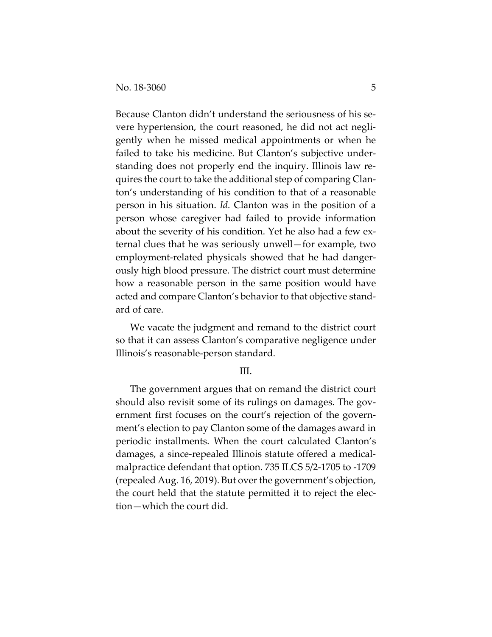Because Clanton didn't understand the seriousness of his severe hypertension, the court reasoned, he did not act negligently when he missed medical appointments or when he failed to take his medicine. But Clanton's subjective understanding does not properly end the inquiry. Illinois law requires the court to take the additional step of comparing Clanton's understanding of his condition to that of a reasonable person in his situation. *Id.* Clanton was in the position of a person whose caregiver had failed to provide information about the severity of his condition. Yet he also had a few external clues that he was seriously unwell—for example, two employment-related physicals showed that he had dangerously high blood pressure. The district court must determine how a reasonable person in the same position would have acted and compare Clanton's behavior to that objective standard of care.

We vacate the judgment and remand to the district court so that it can assess Clanton's comparative negligence under Illinois's reasonable-person standard.

## III.

The government argues that on remand the district court should also revisit some of its rulings on damages. The government first focuses on the court's rejection of the government's election to pay Clanton some of the damages award in periodic installments. When the court calculated Clanton's damages, a since-repealed Illinois statute offered a medicalmalpractice defendant that option. 735 ILCS 5/2-1705 to -1709 (repealed Aug. 16, 2019). But over the government's objection, the court held that the statute permitted it to reject the election—which the court did.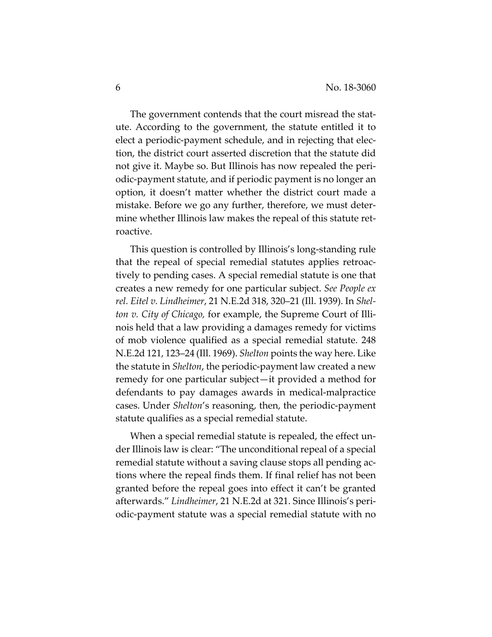The government contends that the court misread the statute. According to the government, the statute entitled it to elect a periodic-payment schedule, and in rejecting that election, the district court asserted discretion that the statute did not give it. Maybe so. But Illinois has now repealed the periodic-payment statute, and if periodic payment is no longer an option, it doesn't matter whether the district court made a mistake. Before we go any further, therefore, we must determine whether Illinois law makes the repeal of this statute retroactive.

This question is controlled by Illinois's long-standing rule that the repeal of special remedial statutes applies retroactively to pending cases. A special remedial statute is one that creates a new remedy for one particular subject. *See People ex rel. Eitel v. Lindheimer*, 21 N.E.2d 318, 320–21 (Ill. 1939). In *Shelton v. City of Chicago,* for example, the Supreme Court of Illinois held that a law providing a damages remedy for victims of mob violence qualified as a special remedial statute. 248 N.E.2d 121, 123–24 (Ill. 1969). *Shelton* points the way here. Like the statute in *Shelton*, the periodic-payment law created a new remedy for one particular subject—it provided a method for defendants to pay damages awards in medical-malpractice cases. Under *Shelton*'s reasoning, then, the periodic-payment statute qualifies as a special remedial statute.

When a special remedial statute is repealed, the effect under Illinois law is clear: "The unconditional repeal of a special remedial statute without a saving clause stops all pending actions where the repeal finds them. If final relief has not been granted before the repeal goes into effect it can't be granted afterwards." *Lindheimer*, 21 N.E.2d at 321. Since Illinois's periodic-payment statute was a special remedial statute with no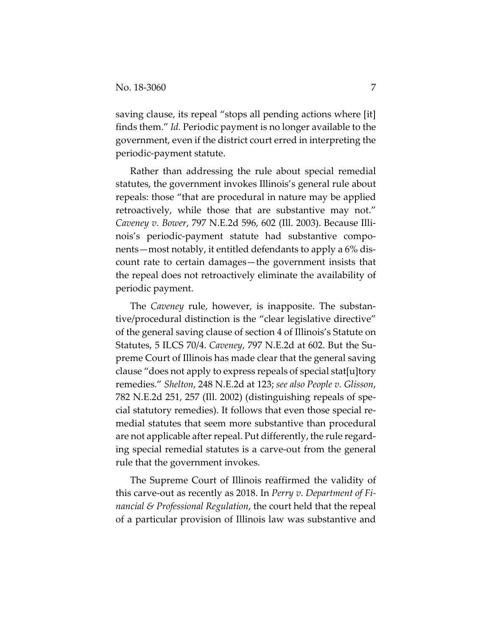saving clause, its repeal "stops all pending actions where [it] finds them." *Id.* Periodic payment is no longer available to the government, even if the district court erred in interpreting the periodic-payment statute.

Rather than addressing the rule about special remedial statutes, the government invokes Illinois's general rule about repeals: those "that are procedural in nature may be applied retroactively, while those that are substantive may not." *Caveney v. Bower*, 797 N.E.2d 596, 602 (Ill. 2003). Because Illinois's periodic-payment statute had substantive components—most notably, it entitled defendants to apply a 6% discount rate to certain damages—the government insists that the repeal does not retroactively eliminate the availability of periodic payment.

The *Caveney* rule, however, is inapposite. The substantive/procedural distinction is the "clear legislative directive" of the general saving clause of section 4 of Illinois's Statute on Statutes, 5 ILCS 70/4. *Caveney*, 797 N.E.2d at 602. But the Supreme Court of Illinois has made clear that the general saving clause "does not apply to express repeals of special stat[u]tory remedies." *Shelton*, 248 N.E.2d at 123; *see also People v. Glisson*, 782 N.E.2d 251, 257 (Ill. 2002) (distinguishing repeals of special statutory remedies). It follows that even those special remedial statutes that seem more substantive than procedural are not applicable after repeal. Put differently, the rule regarding special remedial statutes is a carve-out from the general rule that the government invokes.

The Supreme Court of Illinois reaffirmed the validity of this carve-out as recently as 2018. In *Perry v. Department of Financial & Professional Regulation*, the court held that the repeal of a particular provision of Illinois law was substantive and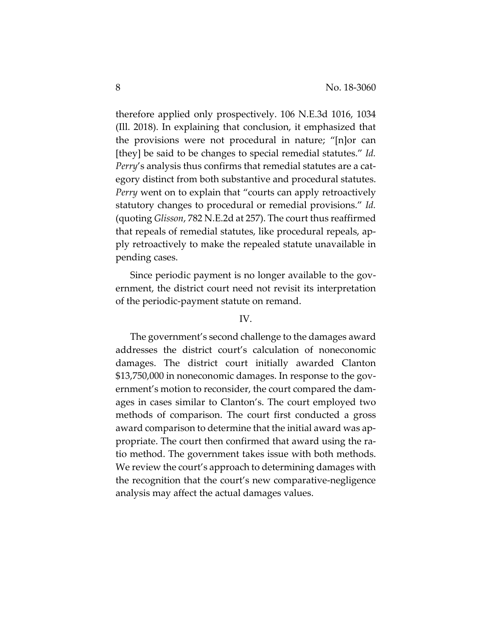therefore applied only prospectively. 106 N.E.3d 1016, 1034 (Ill. 2018). In explaining that conclusion, it emphasized that the provisions were not procedural in nature; "[n]or can [they] be said to be changes to special remedial statutes." *Id. Perry*'s analysis thus confirms that remedial statutes are a category distinct from both substantive and procedural statutes. *Perry* went on to explain that "courts can apply retroactively statutory changes to procedural or remedial provisions." *Id.* (quoting *Glisson*, 782 N.E.2d at 257). The court thus reaffirmed that repeals of remedial statutes, like procedural repeals, apply retroactively to make the repealed statute unavailable in pending cases.

Since periodic payment is no longer available to the government, the district court need not revisit its interpretation of the periodic-payment statute on remand.

## IV.

The government's second challenge to the damages award addresses the district court's calculation of noneconomic damages. The district court initially awarded Clanton \$13,750,000 in noneconomic damages. In response to the government's motion to reconsider, the court compared the damages in cases similar to Clanton's. The court employed two methods of comparison. The court first conducted a gross award comparison to determine that the initial award was appropriate. The court then confirmed that award using the ratio method. The government takes issue with both methods. We review the court's approach to determining damages with the recognition that the court's new comparative-negligence analysis may affect the actual damages values.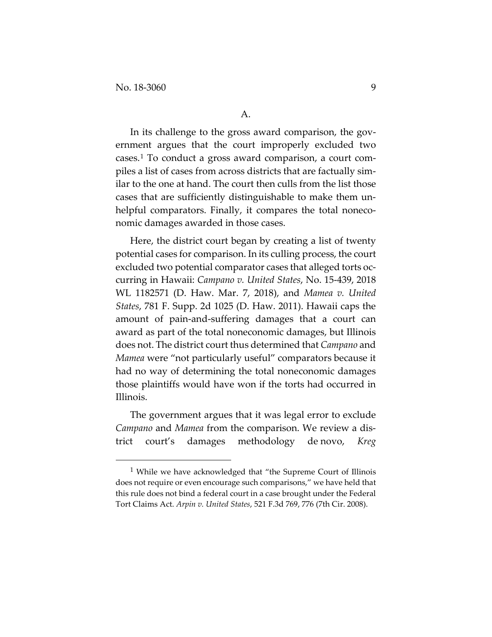In its challenge to the gross award comparison, the government argues that the court improperly excluded two cases.[1](#page-8-0) To conduct a gross award comparison, a court compiles a list of cases from across districts that are factually similar to the one at hand. The court then culls from the list those cases that are sufficiently distinguishable to make them unhelpful comparators. Finally, it compares the total noneconomic damages awarded in those cases.

Here, the district court began by creating a list of twenty potential cases for comparison. In its culling process, the court excluded two potential comparator cases that alleged torts occurring in Hawaii: *Campano v. United States*, No. 15-439, 2018 WL 1182571 (D. Haw. Mar. 7, 2018), and *Mamea v. United States*, 781 F. Supp. 2d 1025 (D. Haw. 2011). Hawaii caps the amount of pain-and-suffering damages that a court can award as part of the total noneconomic damages, but Illinois does not. The district court thus determined that *Campano* and *Mamea* were "not particularly useful" comparators because it had no way of determining the total noneconomic damages those plaintiffs would have won if the torts had occurred in Illinois.

The government argues that it was legal error to exclude *Campano* and *Mamea* from the comparison. We review a district court's damages methodology de novo, *Kreg* 

<span id="page-8-0"></span> <sup>1</sup> While we have acknowledged that "the Supreme Court of Illinois does not require or even encourage such comparisons," we have held that this rule does not bind a federal court in a case brought under the Federal Tort Claims Act. *Arpin v. United States*, 521 F.3d 769, 776 (7th Cir. 2008).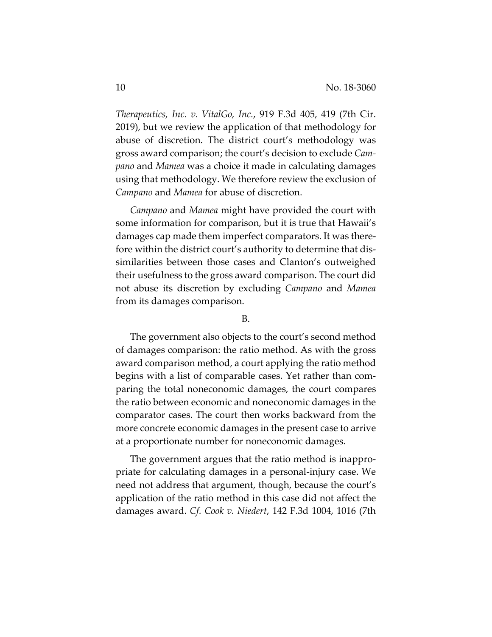*Therapeutics, Inc. v. VitalGo, Inc.*, 919 F.3d 405, 419 (7th Cir. 2019), but we review the application of that methodology for abuse of discretion. The district court's methodology was gross award comparison; the court's decision to exclude *Campano* and *Mamea* was a choice it made in calculating damages using that methodology. We therefore review the exclusion of *Campano* and *Mamea* for abuse of discretion.

*Campano* and *Mamea* might have provided the court with some information for comparison, but it is true that Hawaii's damages cap made them imperfect comparators. It was therefore within the district court's authority to determine that dissimilarities between those cases and Clanton's outweighed their usefulness to the gross award comparison. The court did not abuse its discretion by excluding *Campano* and *Mamea* from its damages comparison.

B.

The government also objects to the court's second method of damages comparison: the ratio method. As with the gross award comparison method, a court applying the ratio method begins with a list of comparable cases. Yet rather than comparing the total noneconomic damages, the court compares the ratio between economic and noneconomic damages in the comparator cases. The court then works backward from the more concrete economic damages in the present case to arrive at a proportionate number for noneconomic damages.

The government argues that the ratio method is inappropriate for calculating damages in a personal-injury case. We need not address that argument, though, because the court's application of the ratio method in this case did not affect the damages award. *Cf. Cook v. Niedert*, 142 F.3d 1004, 1016 (7th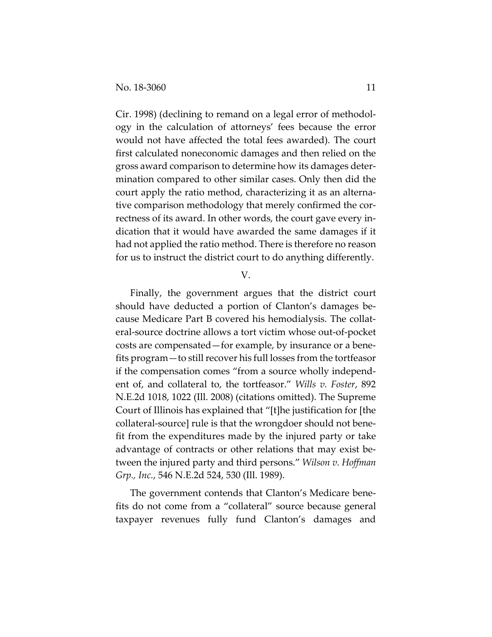Cir. 1998) (declining to remand on a legal error of methodology in the calculation of attorneys' fees because the error would not have affected the total fees awarded). The court first calculated noneconomic damages and then relied on the gross award comparison to determine how its damages determination compared to other similar cases. Only then did the court apply the ratio method, characterizing it as an alternative comparison methodology that merely confirmed the correctness of its award. In other words, the court gave every indication that it would have awarded the same damages if it had not applied the ratio method. There is therefore no reason for us to instruct the district court to do anything differently.

V.

Finally, the government argues that the district court should have deducted a portion of Clanton's damages because Medicare Part B covered his hemodialysis. The collateral-source doctrine allows a tort victim whose out-of-pocket costs are compensated—for example, by insurance or a benefits program—to still recover his full losses from the tortfeasor if the compensation comes "from a source wholly independent of, and collateral to, the tortfeasor." *Wills v. Foster*, 892 N.E.2d 1018, 1022 (Ill. 2008) (citations omitted). The Supreme Court of Illinois has explained that "[t]he justification for [the collateral-source] rule is that the wrongdoer should not benefit from the expenditures made by the injured party or take advantage of contracts or other relations that may exist between the injured party and third persons." *Wilson v. Hoffman Grp., Inc.*, 546 N.E.2d 524, 530 (Ill. 1989).

The government contends that Clanton's Medicare benefits do not come from a "collateral" source because general taxpayer revenues fully fund Clanton's damages and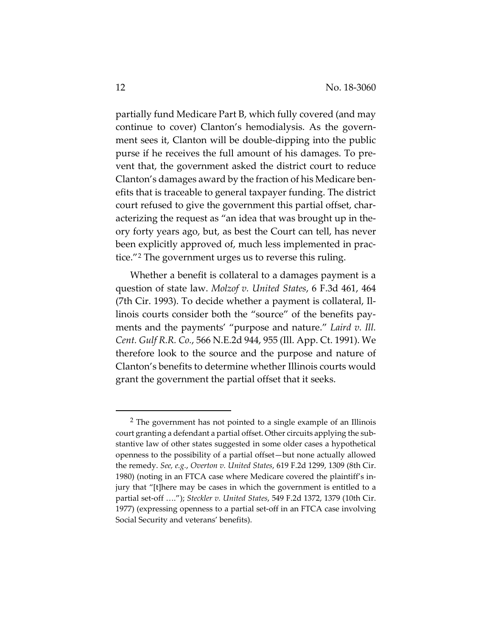partially fund Medicare Part B, which fully covered (and may continue to cover) Clanton's hemodialysis. As the government sees it, Clanton will be double-dipping into the public purse if he receives the full amount of his damages. To prevent that, the government asked the district court to reduce Clanton's damages award by the fraction of his Medicare benefits that is traceable to general taxpayer funding. The district court refused to give the government this partial offset, characterizing the request as "an idea that was brought up in theory forty years ago, but, as best the Court can tell, has never been explicitly approved of, much less implemented in practice."[2](#page-11-0) The government urges us to reverse this ruling.

Whether a benefit is collateral to a damages payment is a question of state law. *Molzof v. United States*, 6 F.3d 461, 464 (7th Cir. 1993). To decide whether a payment is collateral, Illinois courts consider both the "source" of the benefits payments and the payments' "purpose and nature." *Laird v. Ill. Cent. Gulf R.R. Co.*, 566 N.E.2d 944, 955 (Ill. App. Ct. 1991). We therefore look to the source and the purpose and nature of Clanton's benefits to determine whether Illinois courts would grant the government the partial offset that it seeks.

 $\overline{a}$ 

<span id="page-11-0"></span><sup>2</sup> The government has not pointed to a single example of an Illinois court granting a defendant a partial offset. Other circuits applying the substantive law of other states suggested in some older cases a hypothetical openness to the possibility of a partial offset—but none actually allowed the remedy. *See, e.g.*, *Overton v. United States*, 619 F.2d 1299, 1309 (8th Cir. 1980) (noting in an FTCA case where Medicare covered the plaintiff's injury that "[t]here may be cases in which the government is entitled to a partial set-off …."); *Steckler v. United States*, 549 F.2d 1372, 1379 (10th Cir. 1977) (expressing openness to a partial set-off in an FTCA case involving Social Security and veterans' benefits).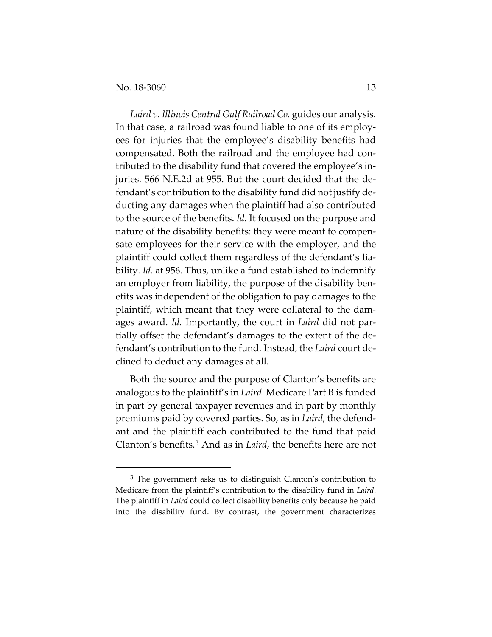$\overline{a}$ 

*Laird v. Illinois Central Gulf Railroad Co.* guides our analysis. In that case, a railroad was found liable to one of its employees for injuries that the employee's disability benefits had compensated. Both the railroad and the employee had contributed to the disability fund that covered the employee's injuries. 566 N.E.2d at 955. But the court decided that the defendant's contribution to the disability fund did not justify deducting any damages when the plaintiff had also contributed to the source of the benefits. *Id.* It focused on the purpose and nature of the disability benefits: they were meant to compensate employees for their service with the employer, and the plaintiff could collect them regardless of the defendant's liability. *Id.* at 956. Thus, unlike a fund established to indemnify an employer from liability, the purpose of the disability benefits was independent of the obligation to pay damages to the plaintiff, which meant that they were collateral to the damages award. *Id.* Importantly, the court in *Laird* did not partially offset the defendant's damages to the extent of the defendant's contribution to the fund. Instead, the *Laird* court declined to deduct any damages at all.

Both the source and the purpose of Clanton's benefits are analogous to the plaintiff's in *Laird*. Medicare Part B is funded in part by general taxpayer revenues and in part by monthly premiums paid by covered parties. So, as in *Laird*, the defendant and the plaintiff each contributed to the fund that paid Clanton's benefits.[3](#page-12-0) And as in *Laird*, the benefits here are not

<span id="page-12-0"></span><sup>&</sup>lt;sup>3</sup> The government asks us to distinguish Clanton's contribution to Medicare from the plaintiff's contribution to the disability fund in *Laird*. The plaintiff in *Laird* could collect disability benefits only because he paid into the disability fund. By contrast, the government characterizes